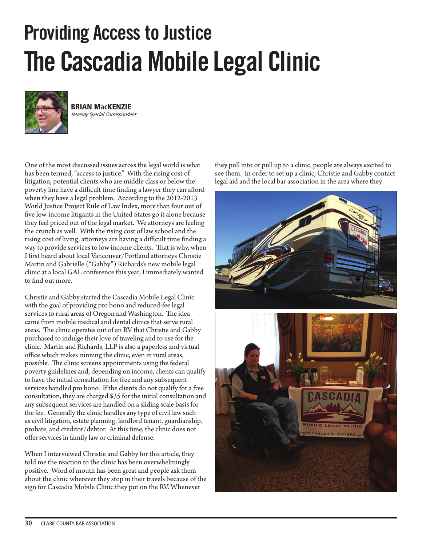## **Providing Access to Justice The Cascadia Mobile Legal Clinic**



**BRIAN MacKENZIE** Hearsay Special Correspondent

One of the most discussed issues across the legal world is what has been termed, "access to justice." With the rising cost of litigation, potential clients who are middle class or below the poverty line have a difficult time finding a lawyer they can afford when they have a legal problem. According to the 2012-2013 World Justice Project Rule of Law Index, more than four out of five low-income litigants in the United States go it alone because they feel priced out of the legal market. We attorneys are feeling the crunch as well. With the rising cost of law school and the rising cost of living, attorneys are having a difficult time finding a way to provide services to low income clients. That is why, when I first heard about local Vancouver/Portland attorneys Christie Martin and Gabrielle ("Gabby") Richards's new mobile legal clinic at a local GAL conference this year, I immediately wanted to find out more.

Christie and Gabby started the Cascadia Mobile Legal Clinic with the goal of providing pro bono and reduced-fee legal services to rural areas of Oregon and Washington. The idea came from mobile medical and dental clinics that serve rural areas. The clinic operates out of an RV that Christie and Gabby purchased to indulge their love of traveling and to use for the clinic. Martin and Richards, LLP is also a paperless and virtual office which makes running the clinic, even in rural areas, possible. The clinic screens appointments using the federal poverty guidelines and, depending on income, clients can qualify to have the initial consultation for free and any subsequent services handled pro bono. If the clients do not qualify for a free consultation, they are charged \$35 for the initial consultation and any subsequent services are handled on a sliding scale basis for the fee. Generally the clinic handles any type of civil law such as civil litigation, estate planning, landlord tenant, guardianship, probate, and creditor/debtor. At this time, the clinic does not offer services in family law or criminal defense.

When I interviewed Christie and Gabby for this article, they told me the reaction to the clinic has been overwhelmingly positive. Word of mouth has been great and people ask them about the clinic wherever they stop in their travels because of the sign for Cascadia Mobile Clinic they put on the RV. Whenever

they pull into or pull up to a clinic, people are always excited to see them. In order to set up a clinic, Christie and Gabby contact legal aid and the local bar association in the area where they